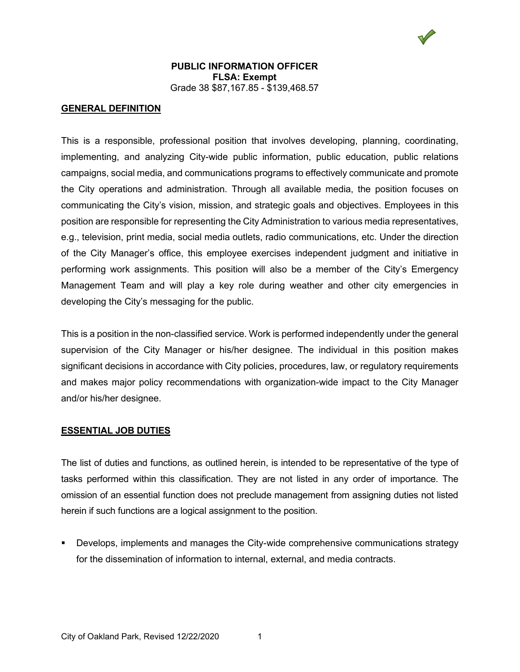

### **GENERAL DEFINITION**

This is a responsible, professional position that involves developing, planning, coordinating, implementing, and analyzing City-wide public information, public education, public relations campaigns, social media, and communications programs to effectively communicate and promote the City operations and administration. Through all available media, the position focuses on communicating the City's vision, mission, and strategic goals and objectives. Employees in this position are responsible for representing the City Administration to various media representatives, e.g., television, print media, social media outlets, radio communications, etc. Under the direction of the City Manager's office, this employee exercises independent judgment and initiative in performing work assignments. This position will also be a member of the City's Emergency Management Team and will play a key role during weather and other city emergencies in developing the City's messaging for the public.

This is a position in the non-classified service. Work is performed independently under the general supervision of the City Manager or his/her designee. The individual in this position makes significant decisions in accordance with City policies, procedures, law, or regulatory requirements and makes major policy recommendations with organization-wide impact to the City Manager and/or his/her designee.

#### **ESSENTIAL JOB DUTIES**

The list of duties and functions, as outlined herein, is intended to be representative of the type of tasks performed within this classification. They are not listed in any order of importance. The omission of an essential function does not preclude management from assigning duties not listed herein if such functions are a logical assignment to the position.

 Develops, implements and manages the City-wide comprehensive communications strategy for the dissemination of information to internal, external, and media contracts.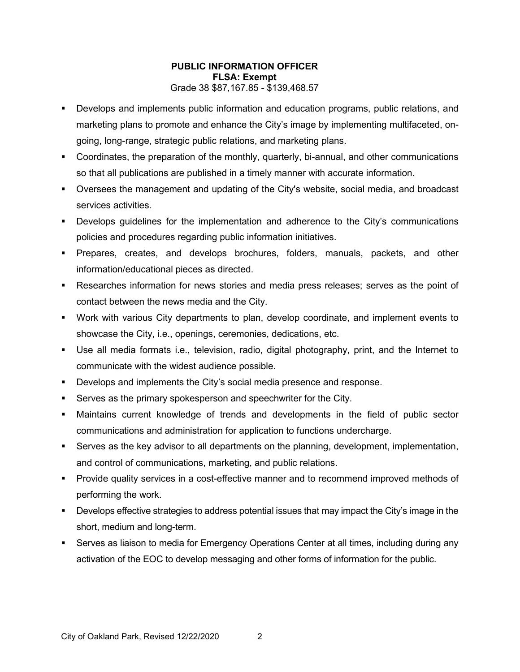- Develops and implements public information and education programs, public relations, and marketing plans to promote and enhance the City's image by implementing multifaceted, ongoing, long-range, strategic public relations, and marketing plans.
- Coordinates, the preparation of the monthly, quarterly, bi-annual, and other communications so that all publications are published in a timely manner with accurate information.
- Oversees the management and updating of the City's website, social media, and broadcast services activities.
- Develops guidelines for the implementation and adherence to the City's communications policies and procedures regarding public information initiatives.
- Prepares, creates, and develops brochures, folders, manuals, packets, and other information/educational pieces as directed.
- Researches information for news stories and media press releases; serves as the point of contact between the news media and the City.
- Work with various City departments to plan, develop coordinate, and implement events to showcase the City, i.e., openings, ceremonies, dedications, etc.
- Use all media formats i.e., television, radio, digital photography, print, and the Internet to communicate with the widest audience possible.
- Develops and implements the City's social media presence and response.
- Serves as the primary spokesperson and speechwriter for the City.
- Maintains current knowledge of trends and developments in the field of public sector communications and administration for application to functions undercharge.
- Serves as the key advisor to all departments on the planning, development, implementation, and control of communications, marketing, and public relations.
- Provide quality services in a cost-effective manner and to recommend improved methods of performing the work.
- Develops effective strategies to address potential issues that may impact the City's image in the short, medium and long-term.
- Serves as liaison to media for Emergency Operations Center at all times, including during any activation of the EOC to develop messaging and other forms of information for the public.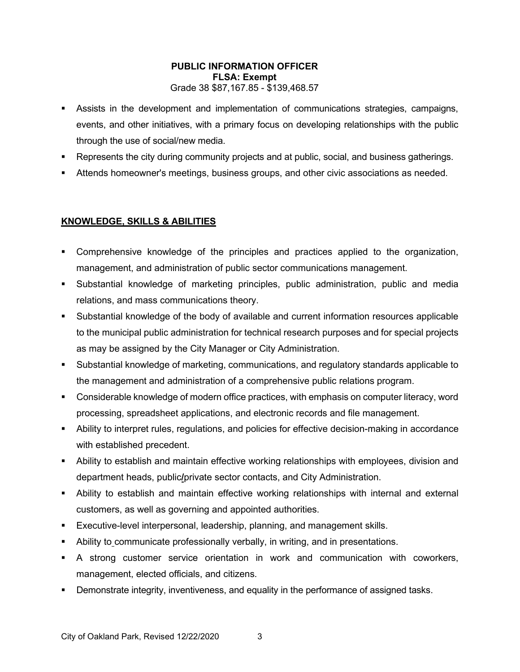- Assists in the development and implementation of communications strategies, campaigns, events, and other initiatives, with a primary focus on developing relationships with the public through the use of social/new media.
- Represents the city during community projects and at public, social, and business gatherings.
- Attends homeowner's meetings, business groups, and other civic associations as needed.

## **KNOWLEDGE, SKILLS & ABILITIES**

- Comprehensive knowledge of the principles and practices applied to the organization, management, and administration of public sector communications management.
- Substantial knowledge of marketing principles, public administration, public and media relations, and mass communications theory.
- Substantial knowledge of the body of available and current information resources applicable to the municipal public administration for technical research purposes and for special projects as may be assigned by the City Manager or City Administration.
- Substantial knowledge of marketing, communications, and regulatory standards applicable to the management and administration of a comprehensive public relations program.
- Considerable knowledge of modern office practices, with emphasis on computer literacy, word processing, spreadsheet applications, and electronic records and file management.
- Ability to interpret rules, regulations, and policies for effective decision-making in accordance with established precedent.
- Ability to establish and maintain effective working relationships with employees, division and department heads, public**/**private sector contacts, and City Administration.
- Ability to establish and maintain effective working relationships with internal and external customers, as well as governing and appointed authorities.
- Executive-level interpersonal, leadership, planning, and management skills.
- Ability to communicate professionally verbally, in writing, and in presentations.
- A strong customer service orientation in work and communication with coworkers, management, elected officials, and citizens.
- Demonstrate integrity, inventiveness, and equality in the performance of assigned tasks.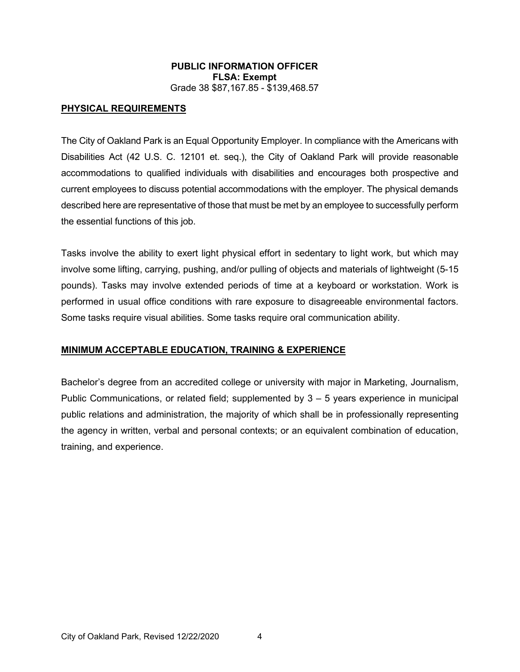### **PHYSICAL REQUIREMENTS**

The City of Oakland Park is an Equal Opportunity Employer. In compliance with the Americans with Disabilities Act (42 U.S. C. 12101 et. seq.), the City of Oakland Park will provide reasonable accommodations to qualified individuals with disabilities and encourages both prospective and current employees to discuss potential accommodations with the employer. The physical demands described here are representative of those that must be met by an employee to successfully perform the essential functions of this job.

Tasks involve the ability to exert light physical effort in sedentary to light work, but which may involve some lifting, carrying, pushing, and/or pulling of objects and materials of lightweight (5-15 pounds). Tasks may involve extended periods of time at a keyboard or workstation. Work is performed in usual office conditions with rare exposure to disagreeable environmental factors. Some tasks require visual abilities. Some tasks require oral communication ability.

### **MINIMUM ACCEPTABLE EDUCATION, TRAINING & EXPERIENCE**

Bachelor's degree from an accredited college or university with major in Marketing, Journalism, Public Communications, or related field; supplemented by  $3 - 5$  years experience in municipal public relations and administration, the majority of which shall be in professionally representing the agency in written, verbal and personal contexts; or an equivalent combination of education, training, and experience.